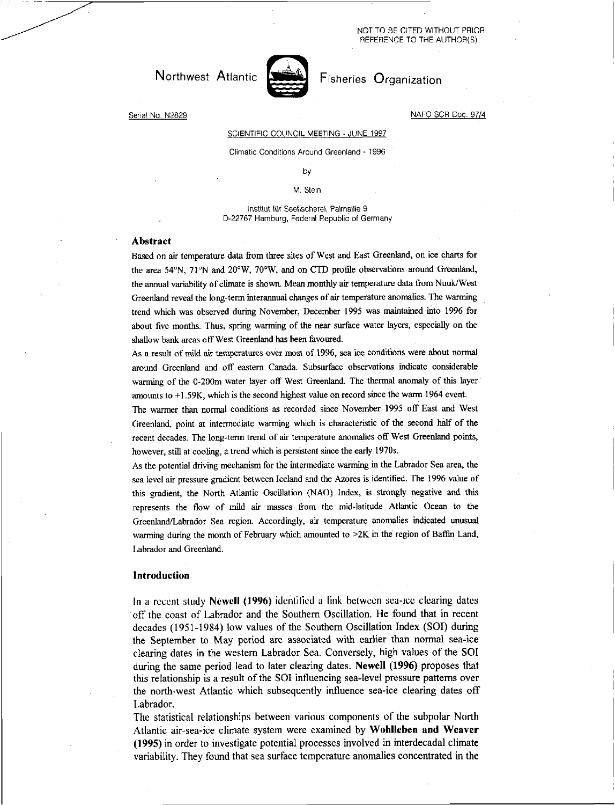NOT TO BE CITED WITHOUT PRIOR REFERENCE TO THE AUTHOR(S)

# Northwest Atlantic **North Fisheries Organization**



Serial No. N2829 NAFO SCR Doc. 97/4

#### SCIENTIFIC COUNCIL MEETING - JUNE 1997

Climatic Conditions Around Greenland - 1996

by

#### M. Stein

Institut für Seefischerei, Palmaille 9 D-22767 Hamburg, Federal Republic of Germany

#### Abstract

Based on air temperature data from three sites of West and East Greenland, on ice charts for the area 54°N, 71°N and 20°W, 70°W, and on CTD profile observations around Greenland, the annual variability of climate is shown. Mean monthly air temperature data from Nuuk/West Greenland reveal the long-term interannual changes of air temperature anomalies. The warming trend which was observed during November, December 1995 was maintained into 1996 for about five months. Thus, spring warming of the near surface water layers, especially on the shallow bank areas off West Greenland has been favoured.

As a result of mild air temperatures over most of 1996, sea ice conditions were about normal around Greenland and off eastern Canada. Subsurface observations indicate considerable warming of the 0-200m water layer off West Greenland. The thermal anomaly of this layer amounts to +1.59K, which is the second highest value on record since the warm 1964 event.

The warmer than normal conditions as recorded since November 1995 off East and West Greenland, point at intermediate warming which is characteristic of the second half of the recent decades. The long-term trend of air temperature anomalies off West Greenland points, however, still at cooling, a trend which is persistent since the early 1970s.

As the potential driving mechanism for the intermediate warming in the Labrador Sea area, the sea level air pressure gradient between Iceland and the Azores is identified. The 1996 value of this gradient, the North Atlantic Oscillation (NAO) Index, is strongly negative and this represents the flow of mild air masses from the mid-latitude Atlantic Ocean to the Greenland/Labrador Sea region. Accordingly, air temperature anomalies indicated unusual warming during the month of February which amounted to >2K in the region of Baffin Land, Labrador and Greenland.

### Introduction

In a recent study Newell (1996) identified a link between sea-ice clearing dates off the coast of Labrador and the Southern Oscillation. He found that in recent decades (1951-1984) low values of the Southern Oscillation Index (SOI) during the September to May period are associated with earlier than normal sea-ice clearing dates in the western Labrador Sea. Conversely, high values of the SOI during the same period lead to later clearing dates. Newell (1996) proposes that this relationship is a result of the SOI influencing sea-level pressure patterns over the north-west Atlantic which subsequently influence sea-ice clearing dates off Labrador.

The statistical relationships between various components of the subpolar North Atlantic air-sea-ice climate system were examined by Wohlleben and Weaver (1995) in order to investigate potential processes involved in interdecadal climate variability. They found that sea surface temperature anomalies concentrated in the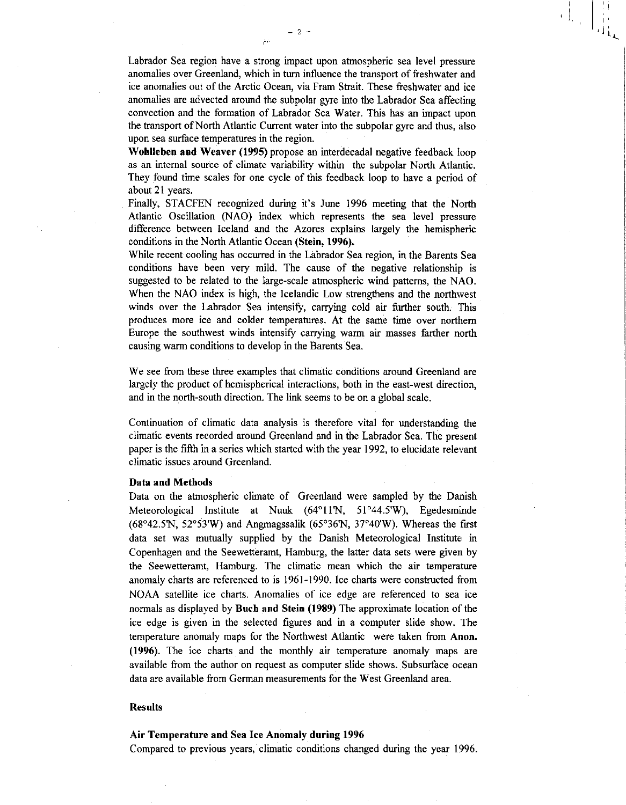Labrador Sea region have a strong impact upon atmospheric sea level pressure anomalies over Greenland, which in turn influence the transport of freshwater and ice anomalies out of the Arctic Ocean, via Fram Strait. These freshwater and ice anomalies are advected around the subpolar gyre into the Labrador Sea affecting convection and the formation of Labrador Sea Water. This has an impact upon the transport of North Atlantic Current water into the subpolar gyre and thus, also upon sea surface temperatures in the region.

**Wohlleben and Weaver (1995)** propose an interdecadal negative feedback loop as an internal source of climate variability within the subpolar North Atlantic. They found time scales for one cycle of this feedback loop to have a period of about 21 years.

Finally, STACFEN recognized during it's June 1996 meeting that the North Atlantic Oscillation (NAO) index which represents the sea level pressure difference between Iceland and the Azores explains largely the hemispheric conditions in the North Atlantic Ocean **(Stein, 1996).** 

While recent cooling has occurred in the Labrador Sea region, in the Barents Sea conditions have been very mild. The cause of the negative relationship is suggested to be related to the large-scale atmospheric wind patterns, the NAO. When the NAO index is high, the Icelandic Low strengthens and the northwest winds over the Labrador Sea intensify, carrying cold air further south. This produces more ice and colder temperatures. At the same time over northern Europe the southwest winds intensify carrying warm air masses farther north causing warm conditions to develop in the Barents Sea.

We see from these three examples that climatic conditions around Greenland are largely the product of hemispherical interactions, both in the east-west direction, and in the north-south direction. The link seems to be on a global scale.

Continuation of climatic data analysis is therefore vital for understanding the climatic events recorded around Greenland and in the Labrador Sea. The present paper is the fifth in a series which started with the year 1992, to elucidate relevant climatic issues around Greenland.

#### **Data and Methods**

Data on the atmospheric climate of Greenland were sampled by the Danish Meteorological Institute at Nuuk (64°11N, 51°44.5'W), Egedesminde (68°42.5'N, 52°53'W) and Angmagssalik (65°36'N, 37°40'W). Whereas the first data set was mutually supplied by the Danish Meteorological Institute in Copenhagen and the Seewetteramt, Hamburg, the latter data sets were given by the Seewetteramt, Hamburg. The climatic mean which the air temperature anomaly charts are referenced to is 1961-1990. Ice charts were constructed from NOAA satellite ice charts. Anomalies of ice edge are referenced to sea ice normals as displayed by **Buch and Stein (1989)** The approximate location of the ice edge is given in the selected figures and in a computer slide show. The temperature anomaly maps for the Northwest Atlantic were taken from **Anon. (1996).** The ice charts and the monthly air temperature anomaly maps are available from the author on request as computer slide shows. Subsurface ocean data are available from German measurements for the West Greenland area.

### Results

#### **Air Temperature and Sea Ice Anomaly during 1996**

Compared to previous years, climatic conditions changed during the year 1996.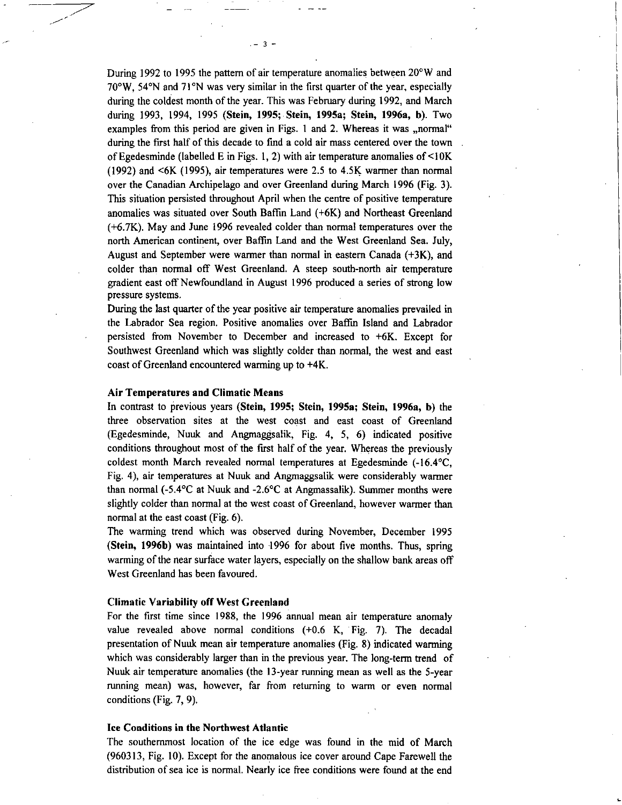During 1992 to 1995 the pattern of air temperature anomalies between 20°W and 70°W, 54°N and 71°N was very similar in the first quarter of the year, especially during the coldest month of the year. This was February during 1992, and March during 1993, 1994, 1995 **(Stein, 1995; Stein, 1995a; Stein, 1996a, b).** Two examples from this period are given in Figs. 1 and 2. Whereas it was  $\eta$  normal" during the first half of this decade to find a cold air mass centered over the town of Egedesminde (labelled E in Figs. 1, 2) with air temperature anomalies of  $\leq 10K$ (1992) and <6K (1995), air temperatures were 2.5 to 4.5K wanner than normal over the Canadian Archipelago and over Greenland during March 1996 (Fig. 3). This situation persisted throughout April when the centre of positive temperature anomalies was situated over South Baffin Land (+6K) and Northeast Greenland (+6.7K). May and June 1996 revealed colder than normal temperatures over the north American continent, over Baffin Land and the West Greenland Sea. July, August and September were warmer than normal in eastern Canada (+3K), and colder than normal off West Greenland. A steep south-north air temperature gradient east off Newfoundland in August 1996 produced a series of strong low pressure systems.

 $-3 -$ 

During the last quarter of the year positive air temperature anomalies prevailed in the Labrador Sea region. Positive anomalies over Baffin Island and Labrador persisted from November to December and increased to +6K. Except for Southwest Greenland which was slightly colder than normal, the west and east coast of Greenland encountered warming up to +4K.

# **Air Temperatures and Climatic Means**

In contrast to previous years **(Stein, 1995; Stein, 1995a; Stein, 1996a, b)** the three observation sites at the west coast and east coast of Greenland (Egedesminde, Nuuk and Angmaggsalik, Fig. 4, 5, 6) indicated positive conditions throughout most of the first half of the year. Whereas the previously coldest month March revealed normal temperatures at Egedesminde (-16.4°C, Fig. 4), air temperatures at Nuuk and Angmaggsalik were considerably warmer than normal (-5.4°C at Nuuk and -2.6°C at Angmassalik). Summer months were slightly colder than normal at the west coast of Greenland, however warmer than normal at the east coast (Fig. 6).

The warming trend which was observed during November, December 1995 **(Stein, 1996b)** was maintained into 1996 for about five months. Thus, spring warming of the near surface water layers, especially on the shallow bank areas off West Greenland has been favoured.

# **Climatic Variability off West Greenland**

For the first time since 1988, the 1996 annual mean air temperature anomaly value revealed above normal conditions (+0.6 K, Fig. 7). The decadal presentation of Nuuk mean air temperature anomalies (Fig. 8) indicated warming which was considerably larger than in the previous year. The long-term trend of Nuuk air temperature anomalies (the 13-year running mean as well as the 5-year running mean) was, however, far from returning to warm or even normal conditions (Fig. 7, 9).

#### **Ice Conditions in the Northwest Atlantic**

The southernmost location of the ice edge was found in the mid of March (960313, Fig. 10). Except for the anomalous ice cover around Cape Farewell the distribution of sea ice is normal. Nearly ice free conditions were found at the end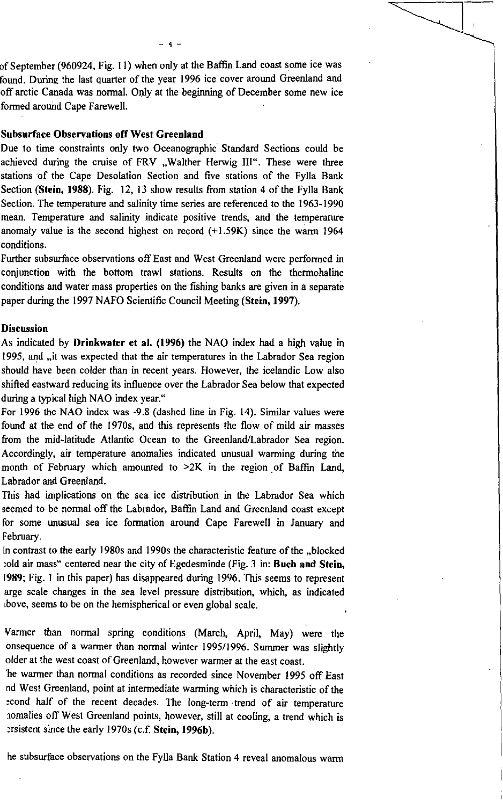of September (960924, Fig. 11) when only at the Baffin Land coast some ice was found. During the last quarter of the year 1996 ice cover around Greenland and off arctic Canada was normal. Only at the beginning of December some new ice formed around Cape Farewell.

# **Subsurface Observations off West Greenland**

**Due** to time constraints only two Oceanographic Standard Sections could be achieved during the cruise of FRV "Walther Herwig III". These were three stations of the Cape Desolation Section and five stations of the Fylla Bank Section **(Stein, 1988).** Fig. 12, 13 show results from station 4 of the Fylla Bank Section. The temperature and salinity time series are referenced to the 1963-1990 mean. Temperature and salinity indicate positive trends, and the temperature anomaly value is the second highest on record  $(+1.59K)$  since the warm 1964 conditions.

Further subsurface observations off East and West Greenland were performed in conjunction with the bottom trawl stations. Results on the thermohaline conditions and water mass properties on the fishing banks are given in a separate paper during the 1997 NAFO Scientific Council Meeting **(Stein, 1997).** 

# **Discussion**

As indicated by **Drinkwater et al. (1996)** the NAO index had a high value in 1995, and "it was expected that the air temperatures in the Labrador Sea region should have been colder than in recent years. However, the icelandic Low also shifted eastward reducing its influence over the Labrador Sea below that expected during a typical high NAO index year."

For 1996 the NAO index was -9.8 (dashed line in Fig. 14). Similar values were found at the end of the 1970s, and this represents the flow of mild air masses from the mid-latitude Atlantic Ocean to the Greenland/Labrador Sea region. Accordingly, air temperature anomalies indicated unusual warming during the month of February which amounted to  $>2K$  in the region of Baffin Land, Labrador and Greenland.

This had implications on the sea ice distribution in the Labrador Sea which seemed to be normal off the Labrador, Baffin Land and Greenland coast except for some unusual sea ice formation around Cape Farewell in January and February.

In contrast to the early 1980s and 1990s the characteristic feature of the "blocked :old air mass" centered near the city of Egedesminde (Fig. 3 in: **Buch and Stein, 1989;** Fig. 1 in this paper) has disappeared during 1996. This seems to represent arge scale changes in the sea level pressure distribution, which, as indicated tbove, seems to be on the hemispherical or even global scale.

Varmer than normal spring conditions (March, April, May) were the onsequence of a warmer than normal winter 1995/1996. Summer was slightly older at the west coast of Greenland, however warmer at the east coast.

'he warmer than normal conditions as recorded since November 1995 off East nd West Greenland, point at intermediate warming which is characteristic of the econd half of the recent decades. The long-term trend of air temperature homalies off West Greenland points, however, still at cooling, a trend which is ersistent since the early 1970s (c.f. Stein, 1996b).

he subsurface observations on the Fylla Bank Station 4 reveal anomalous warm

 $4 -$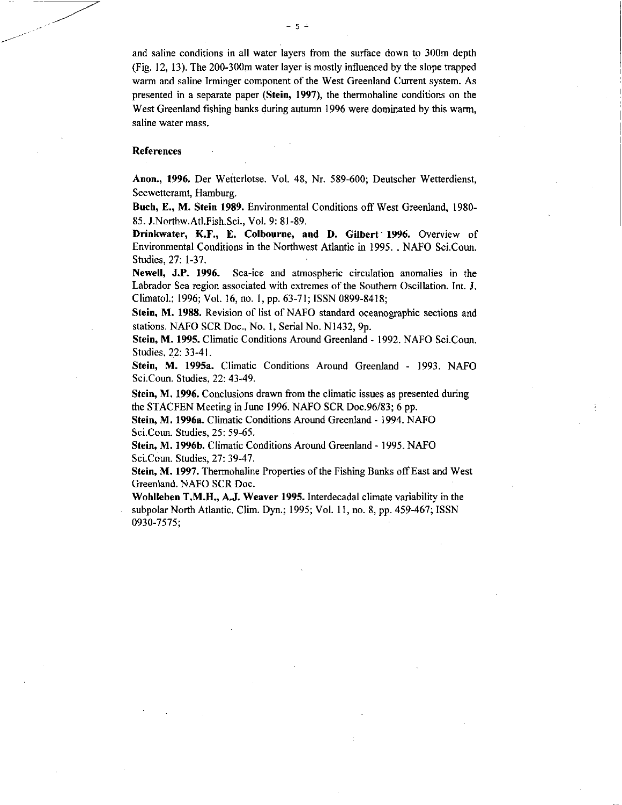and saline conditions in all water layers from the surface down to 300m depth (Fig. 12, 13). The 200-300m water layer is mostly influenced by the slope trapped warm and saline Irminger component of the West Greenland Current system. As presented in a separate paper (Stein, 1997), the thermohaline conditions on the West Greenland fishing banks during autumn 1996 were dominated by this warm, saline water mass.

# References

Anon., 1996. Der Wetterlotse. Vol. 48, Nr. 589-600; Deutscher Wetterdienst, Seewetteramt, Hamburg.

Buch, E., M. Stein 1989. Environmental Conditions off West Greenland, 1980- 85. J.Northw.Atl.Fish.Sci., Vol. 9: 81-89.

Drinkwater, K.F., E. Colbourne, and D. Gilbert 1996. Overview of Environmental Conditions in the Northwest Atlantic in 1995. . NAFO Sci.Coun. Studies, 27: 1-37.

Newell, J.P. 1996. Sea-ice and atmospheric circulation anomalies in the Labrador Sea region associated with extremes of the Southern Oscillation. Int. J. Climatol.; 1996; Vol. 16, no. 1, pp. 63-71; ISSN 0899-8418;

Stein, M. 1988. Revision of list of NAFO standard oceanographic sections and stations. NAFO SCR Doc., No. 1, Serial No. N1432, 9p.

Stein, M. 1995. Climatic Conditions Around Greenland - 1992. NAFO Sci.Coun. Studies, 22: 33-41.

Stein, M. 1995a. Climatic Conditions Around Greenland - 1993. NAFO Sci.Coun. Studies, 22: 43-49.

Stein, M. 1996. Conclusions drawn from the climatic issues as presented during the STACFEN Meeting in June 1996. NAFO SCR Doc.96/83; 6 pp.

Stein, M. 1996a. Climatic Conditions Around Greenland - 1994. NAFO Sci.Coun. Studies, 25: 59-65.

Stein, M. 1996b. Climatic Conditions Around Greenland - 1995. NAFO Sci.Coun. Studies, 27: 39-47.

Stein, M. 1997. Thermohaline Properties of the Fishing Banks off East and West Greenland. NAFO SCR Doc.

Wohlleben T.M.H., A.J. Weaver 1995. Interdecadal climate variability in the subpolar North Atlantic. Clim. Dyn.; 1995; Vol. 11, no. 8, pp. 459-467; ISSN 0930-7575;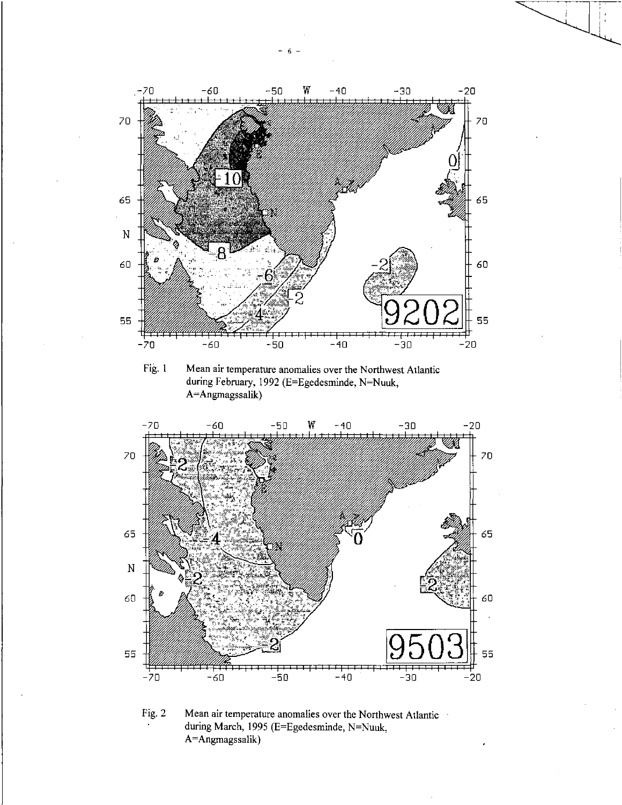

 $6 -$ 

Fig. 1 Mean air temperature anomalies over the Northwest Atlantic during February, 1992 (E=Egedesminde, N=Nuuk, A=Angmagssalik)



Fig. 2 Mean air temperature anomalies over the Northwest Atlantic during March, 1995 (E=Egedesminde, N=Nuuk, A=Angmagssalik)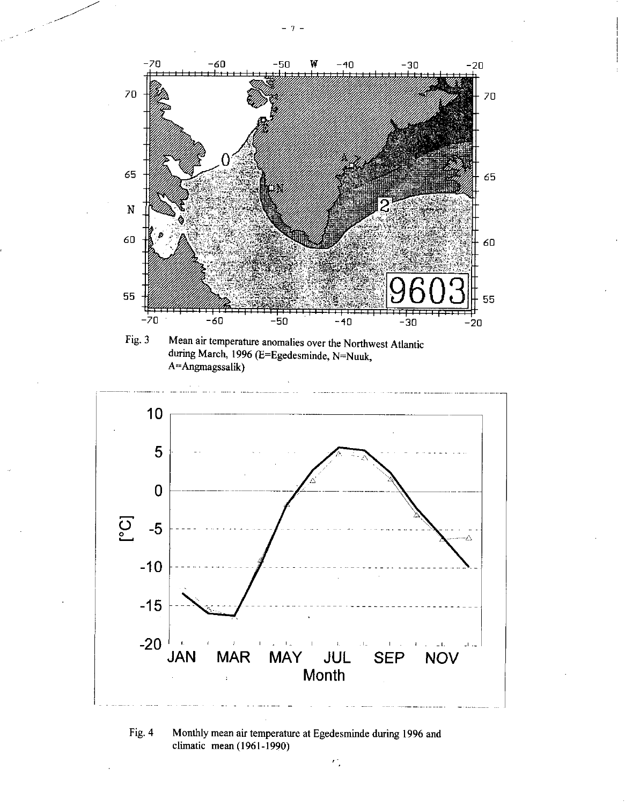

Fig. 4 Monthly mean air temperature at Egedesminde during 1996 and climatic mean (1961-1990)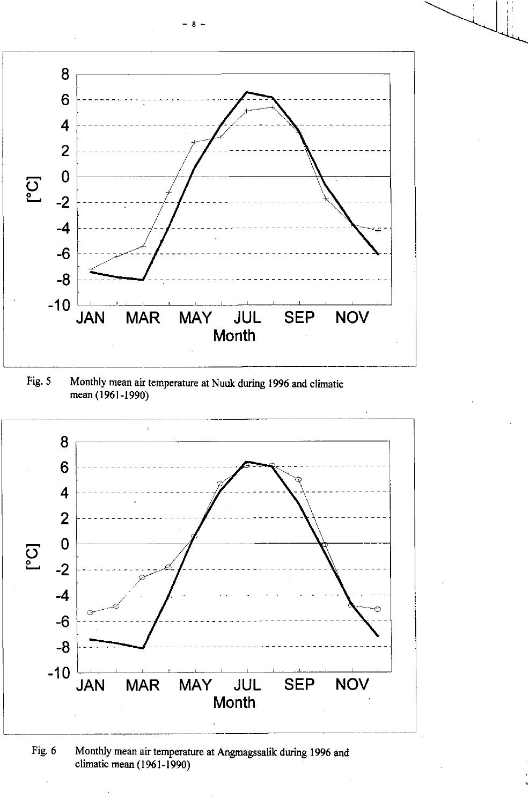

Fig. 5 Monthly mean air temperature at Nuuk during 1996 and climatic mean (1961-1990)



Fig. 6 Monthly mean air temperature at Angmagssalik during 1996 and climatic mean (1961-1990)

 $-8 -$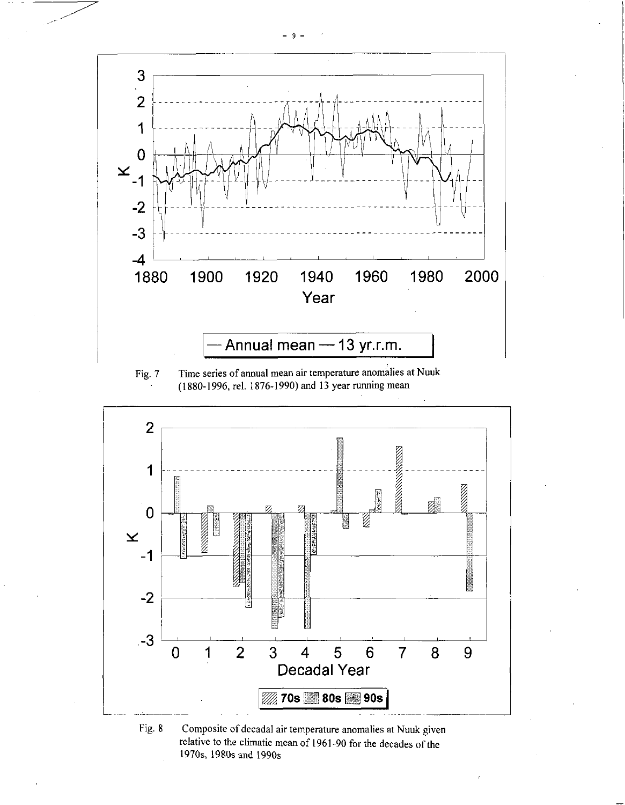

Fig. 7 Time series of annual mean air temperature anomalies at Nuuk (1880-1996, rel. 1876-1990) and 13 year running mean



Fig. 8 Composite of decadal air temperature anomalies at Nuuk given relative to the climatic mean of 1961-90 for the decades of the 1970s, 1980s and 1990s

 $-9 -$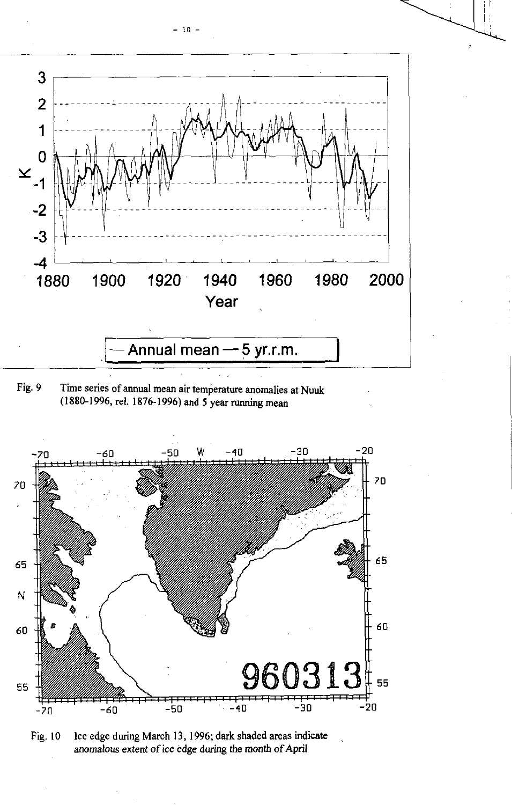

Fig. 9 Time series of annual mean air temperature anomalies at Nuuk (1880-1996, rel. 1876-1996) and 5 year running mean



Fig. 10 Ice edge during March 13, 1996; dark shaded areas indicate *anomalous extent of* ice *edge during the* month of April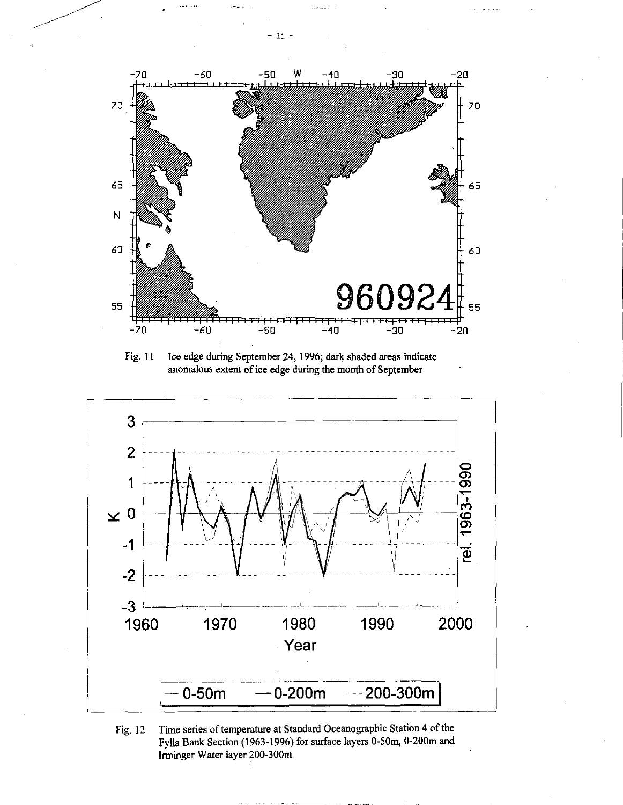

Fig. 11 Ice edge during September 24, 1996; dark shaded areas indicate anomalous extent of ice edge during the month of September



Fig. 12 Time series of temperature at Standard Oceanographic Station 4 of the Fylla Bank Section (1963-1996) for surface layers 0-50m, 0-200m and Irminger Water layer 200-300m

11